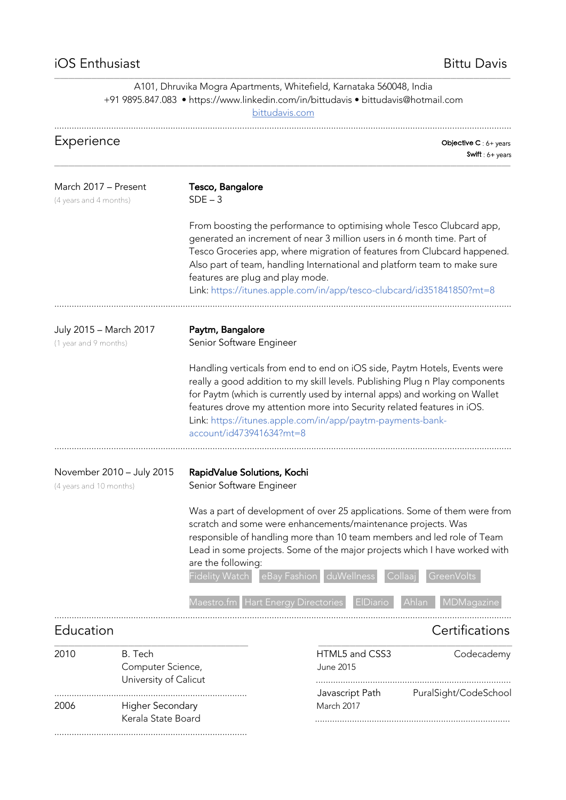..............................................................................

## \_\_\_\_\_\_\_\_\_\_\_\_\_\_\_\_\_\_\_\_\_\_\_\_\_\_\_\_\_\_\_\_\_\_\_\_\_\_\_\_\_\_\_\_\_\_\_\_\_\_\_\_\_\_\_\_\_\_\_\_\_\_\_\_\_\_\_\_\_\_\_\_\_\_\_\_\_\_\_\_\_\_\_\_\_\_\_\_\_\_\_\_\_\_\_\_\_\_\_\_\_\_\_\_\_\_\_\_\_\_\_\_\_\_\_\_\_\_\_\_\_\_\_\_\_\_\_\_\_\_\_\_\_\_\_\_\_\_\_\_\_\_\_\_\_\_\_\_\_\_\_\_\_\_\_\_\_\_\_\_ A101, Dhruvika Mogra Apartments, Whitefield, Karnataka 560048, India +91 9895.847.083 • https://www.linkedin.com/in/bittudavis • bittudavis@hotmail.com bittudavis.com Experience **Objective C** : 6+ years Swift : 6+ years \_\_\_\_\_\_\_\_\_\_\_\_\_\_\_\_\_\_\_\_\_\_\_\_\_\_\_\_\_\_\_\_\_\_\_\_\_\_\_\_\_\_\_\_\_\_\_\_\_\_\_\_\_\_\_\_\_\_\_\_\_\_\_\_\_\_\_\_\_\_\_\_\_\_\_\_\_\_\_\_\_\_\_\_\_\_\_\_\_\_\_\_\_\_\_\_\_\_\_\_\_\_\_\_\_\_\_\_\_\_\_\_\_\_\_\_\_\_\_\_\_\_\_\_\_\_\_\_\_\_\_\_\_\_\_\_\_\_\_\_\_\_\_\_\_\_\_\_\_\_\_\_\_\_\_\_\_\_\_\_ March 2017 – Present **Tesco, Bangalore** (4 years and 4 months)  $SDE - 3$ From boosting the performance to optimising whole Tesco Clubcard app, generated an increment of near 3 million users in 6 month time. Part of Tesco Groceries app, where migration of features from Clubcard happened. Also part of team, handling International and platform team to make sure features are plug and play mode. Link: https://itunes.apple.com/in/app/tesco-clubcard/id351841850?mt=8 ......................................................................................................................................................................................... July 2015 – March 2017 Paytm, Bangalore (1 year and 9 months) Senior Software Engineer Handling verticals from end to end on iOS side, Paytm Hotels, Events were really a good addition to my skill levels. Publishing Plug n Play components for Paytm (which is currently used by internal apps) and working on Wallet features drove my attention more into Security related features in iOS. Link: https://itunes.apple.com/in/app/paytm-payments-bankaccount/id473941634?mt=8 ......................................................................................................................................................................................... November 2010 – July 2015 RapidValue Solutions, Kochi (4 years and 10 months) **Senior Software Engineer** Was a part of development of over 25 applications. Some of them were from scratch and some were enhancements/maintenance projects. Was responsible of handling more than 10 team members and led role of Team Lead in some projects. Some of the major projects which I have worked with are the following: Fidelity Watch eBay Fashion duWellness Maestro.fm Hart Energy Directories ElDiario Ahlan MDMagazine ......................................................................................................................................................................................... Education **Executive Certifications** \_\_\_\_\_\_\_\_\_\_\_\_\_\_\_\_\_\_\_\_\_\_\_\_\_\_\_\_\_\_\_\_\_\_\_\_\_\_\_\_\_\_\_\_\_\_\_\_\_\_\_\_\_\_\_\_\_\_\_\_\_\_\_\_\_\_\_\_ \_\_\_\_\_\_\_\_\_\_\_\_\_\_\_\_\_\_\_\_\_\_\_\_\_\_\_\_\_\_\_\_\_\_\_\_\_\_\_\_\_\_\_\_\_\_\_\_\_\_\_\_\_\_\_\_\_\_\_\_\_\_\_\_\_\_\_\_ 2010 B. Tech HTML5 and CSS3 Codecademy Computer Science, and the Suite of the United States June 2015 University of Calicut ............................................................................... .............................................................................. Javascript Path PuralSight/CodeSchool 2006 Higher Secondary March 2017

Kerala State Board ...............................................................................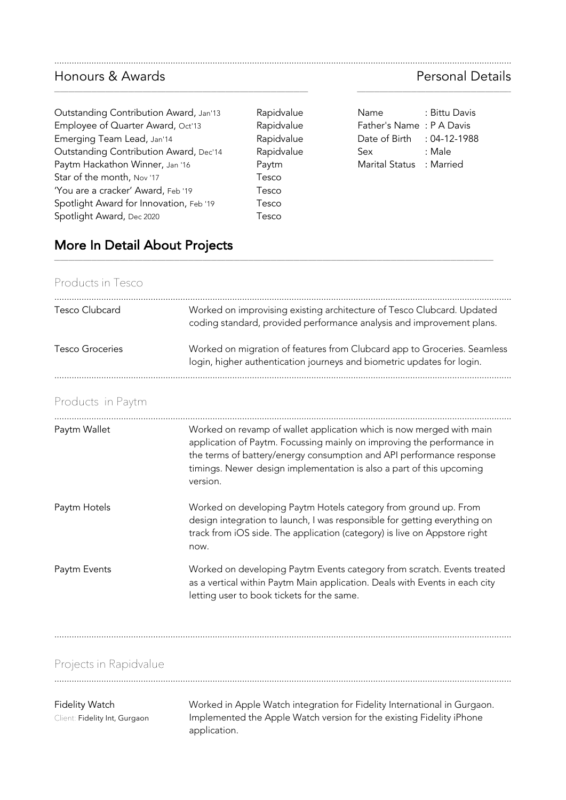### Honours & Awards Personal Details

| Outstanding Contribution Award, Jan'13  | Rapidvalue | : Bittu Da<br>Name       |
|-----------------------------------------|------------|--------------------------|
| Employee of Quarter Award, Oct'13       | Rapidvalue | Father's Name: P A Dav   |
| Emerging Team Lead, Jan'14              | Rapidvalue | Date of Birth : 04-12-1  |
| Outstanding Contribution Award, Dec'14  | Rapidvalue | : Male<br>Sex            |
| Paytm Hackathon Winner, Jan '16         | Paytm      | Marital Status : Married |
| Star of the month, Nov '17              | Tesco      |                          |
| 'You are a cracker' Award, Feb '19      | Tesco      |                          |
| Spotlight Award for Innovation, Feb '19 | Tesco      |                          |
| Spotlight Award, Dec 2020               | Tesco      |                          |

# More In Detail About Projects

Products in Tesco

| Tesco Clubcard  | Worked on improvising existing architecture of Tesco Clubcard. Updated<br>coding standard, provided performance analysis and improvement plans.    |
|-----------------|----------------------------------------------------------------------------------------------------------------------------------------------------|
| Tesco Groceries | Worked on migration of features from Clubcard app to Groceries. Seamless<br>login, higher authentication journeys and biometric updates for login. |

.........................................................................................................................................................................................

\_\_\_\_\_\_\_\_\_\_\_\_\_\_\_\_\_\_\_\_\_\_\_\_\_\_\_\_\_\_\_\_\_\_\_\_\_\_\_\_\_\_\_\_\_\_\_\_\_\_\_\_\_\_\_\_\_\_\_\_\_\_\_\_\_\_\_\_\_\_\_\_\_\_\_\_\_\_\_\_\_\_\_\_\_\_\_\_\_ \_\_\_\_\_\_\_\_\_\_\_\_\_\_\_\_\_\_\_\_\_\_\_\_\_\_\_\_\_\_\_\_\_\_\_\_\_\_\_\_\_\_\_\_\_\_\_\_\_\_\_\_\_\_

Rapidvalue Rapidvalue

\_\_\_\_\_\_\_\_\_\_\_\_\_\_\_\_\_\_\_\_\_\_\_\_\_\_\_\_\_\_\_\_\_\_\_\_\_\_\_\_\_\_\_\_\_\_\_\_\_\_\_\_\_\_\_\_\_\_\_\_\_\_\_\_\_\_\_\_\_\_\_\_\_\_\_\_\_\_\_\_\_\_\_\_\_\_\_\_\_\_\_\_\_\_\_\_\_\_\_\_\_\_\_\_\_\_\_\_\_\_\_\_\_\_\_\_\_\_\_\_\_\_\_\_\_\_\_\_\_\_\_\_\_\_\_\_\_\_\_\_\_\_\_\_\_\_\_\_\_\_\_\_\_\_

## Products in Paytm

| Paytm Wallet | Worked on revamp of wallet application which is now merged with main<br>application of Paytm. Focussing mainly on improving the performance in<br>the terms of battery/energy consumption and API performance response<br>timings. Newer design implementation is also a part of this upcoming<br>version. |
|--------------|------------------------------------------------------------------------------------------------------------------------------------------------------------------------------------------------------------------------------------------------------------------------------------------------------------|
| Paytm Hotels | Worked on developing Paytm Hotels category from ground up. From<br>design integration to launch, I was responsible for getting everything on<br>track from iOS side. The application (category) is live on Appstore right<br>now.                                                                          |
| Paytm Events | Worked on developing Paytm Events category from scratch. Events treated<br>as a vertical within Paytm Main application. Deals with Events in each city<br>letting user to book tickets for the same.                                                                                                       |

.........................................................................................................................................................................................

Projects in Rapidvalue

#### Fidelity Watch Worked in Apple Watch integration for Fidelity International in Gurgaon. Client: Fidelity Int, Gurgaon Implemented the Apple Watch version for the existing Fidelity iPhone application.

| Rapidvalue | <b>Name</b>                | : Bittu Davis |
|------------|----------------------------|---------------|
| Rapidvalue | Father's Name: P A Davis   |               |
| Rapidvalue | Date of Birth : 04-12-1988 |               |
| Rapidvalue | Sex                        | : Male        |
| Paytm      | Marital Status : Married   |               |